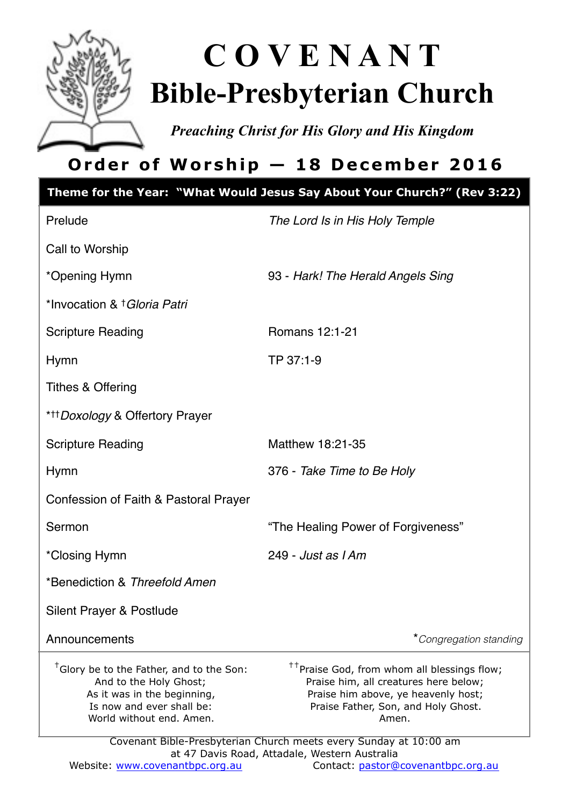

# **C O V E N A N T Bible-Presbyterian Church**

*Preaching Christ for His Glory and His Kingdom* 

## **Order of Worship — 18 December 2016**

| Theme for the Year: "What Would Jesus Say About Your Church?" (Rev 3:22)                                                                                               |                                                                                                                                                                                                                                                              |  |  |  |
|------------------------------------------------------------------------------------------------------------------------------------------------------------------------|--------------------------------------------------------------------------------------------------------------------------------------------------------------------------------------------------------------------------------------------------------------|--|--|--|
| Prelude                                                                                                                                                                | The Lord Is in His Holy Temple                                                                                                                                                                                                                               |  |  |  |
| Call to Worship                                                                                                                                                        |                                                                                                                                                                                                                                                              |  |  |  |
| *Opening Hymn                                                                                                                                                          | 93 - Hark! The Herald Angels Sing                                                                                                                                                                                                                            |  |  |  |
| *Invocation & † Gloria Patri                                                                                                                                           |                                                                                                                                                                                                                                                              |  |  |  |
| <b>Scripture Reading</b>                                                                                                                                               | Romans 12:1-21                                                                                                                                                                                                                                               |  |  |  |
| Hymn                                                                                                                                                                   | TP 37:1-9                                                                                                                                                                                                                                                    |  |  |  |
| <b>Tithes &amp; Offering</b>                                                                                                                                           |                                                                                                                                                                                                                                                              |  |  |  |
| * <sup>++</sup> Doxology & Offertory Prayer                                                                                                                            |                                                                                                                                                                                                                                                              |  |  |  |
| <b>Scripture Reading</b>                                                                                                                                               | Matthew 18:21-35                                                                                                                                                                                                                                             |  |  |  |
| <b>Hymn</b>                                                                                                                                                            | 376 - Take Time to Be Holy                                                                                                                                                                                                                                   |  |  |  |
| Confession of Faith & Pastoral Prayer                                                                                                                                  |                                                                                                                                                                                                                                                              |  |  |  |
| Sermon                                                                                                                                                                 | "The Healing Power of Forgiveness"                                                                                                                                                                                                                           |  |  |  |
| *Closing Hymn                                                                                                                                                          | 249 - Just as I Am                                                                                                                                                                                                                                           |  |  |  |
| *Benediction & Threefold Amen                                                                                                                                          |                                                                                                                                                                                                                                                              |  |  |  |
| Silent Prayer & Postlude                                                                                                                                               |                                                                                                                                                                                                                                                              |  |  |  |
| Announcements                                                                                                                                                          | *Congregation standing                                                                                                                                                                                                                                       |  |  |  |
| <sup>†</sup> Glory be to the Father, and to the Son:<br>And to the Holy Ghost;<br>As it was in the beginning,<br>Is now and ever shall be:<br>World without end. Amen. | <sup>++</sup> Praise God, from whom all blessings flow;<br>Praise him, all creatures here below;<br>Praise him above, ye heavenly host;<br>Praise Father, Son, and Holy Ghost.<br>Amen.<br>Covenant Bible-Presbyterian Church meets every Sunday at 10:00 am |  |  |  |
| at 47 Davis Road, Attadale, Western Australia                                                                                                                          |                                                                                                                                                                                                                                                              |  |  |  |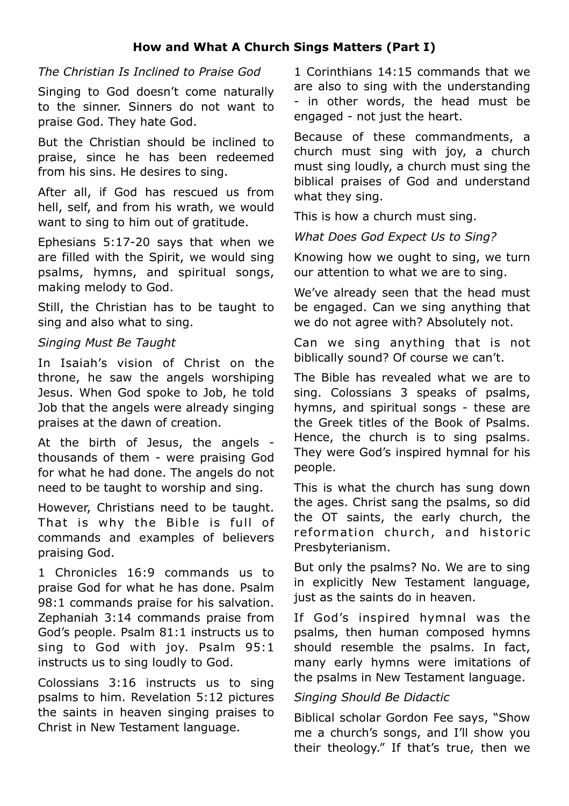#### **How and What A Church Sings Matters (Part I)**

#### *The Christian Is Inclined to Praise God*

Singing to God doesn't come naturally to the sinner. Sinners do not want to praise God. They hate God.

But the Christian should be inclined to praise, since he has been redeemed from his sins. He desires to sing.

After all, if God has rescued us from hell, self, and from his wrath, we would want to sing to him out of gratitude.

Ephesians 5:17-20 says that when we are filled with the Spirit, we would sing psalms, hymns, and spiritual songs, making melody to God.

Still, the Christian has to be taught to sing and also what to sing.

#### *Singing Must Be Taught*

In Isaiah's vision of Christ on the throne, he saw the angels worshiping Jesus. When God spoke to Job, he told Job that the angels were already singing praises at the dawn of creation.

At the birth of Jesus, the angels thousands of them - were praising God for what he had done. The angels do not need to be taught to worship and sing.

However, Christians need to be taught. That is why the Bible is full of commands and examples of believers praising God.

1 Chronicles 16:9 commands us to praise God for what he has done. Psalm 98:1 commands praise for his salvation. Zephaniah 3:14 commands praise from God's people. Psalm 81:1 instructs us to sing to God with joy. Psalm 95:1 instructs us to sing loudly to God.

Colossians 3:16 instructs us to sing psalms to him. Revelation 5:12 pictures the saints in heaven singing praises to Christ in New Testament language.

1 Corinthians 14:15 commands that we are also to sing with the understanding - in other words, the head must be engaged - not just the heart.

Because of these commandments, a church must sing with joy, a church must sing loudly, a church must sing the biblical praises of God and understand what they sing.

This is how a church must sing.

*What Does God Expect Us to Sing?* 

Knowing how we ought to sing, we turn our attention to what we are to sing.

We've already seen that the head must be engaged. Can we sing anything that we do not agree with? Absolutely not.

Can we sing anything that is not biblically sound? Of course we can't.

The Bible has revealed what we are to sing. Colossians 3 speaks of psalms, hymns, and spiritual songs - these are the Greek titles of the Book of Psalms. Hence, the church is to sing psalms. They were God's inspired hymnal for his people.

This is what the church has sung down the ages. Christ sang the psalms, so did the OT saints, the early church, the reformation church, and historic Presbyterianism.

But only the psalms? No. We are to sing in explicitly New Testament language, just as the saints do in heaven.

If God's inspired hymnal was the psalms, then human composed hymns should resemble the psalms. In fact, many early hymns were imitations of the psalms in New Testament language.

#### *Singing Should Be Didactic*

Biblical scholar Gordon Fee says, "Show me a church's songs, and I'll show you their theology." If that's true, then we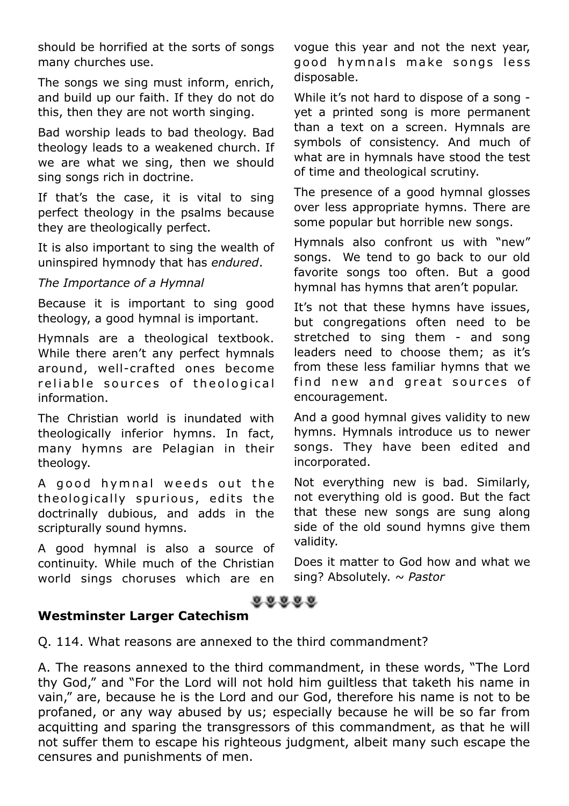should be horrified at the sorts of songs many churches use.

The songs we sing must inform, enrich, and build up our faith. If they do not do this, then they are not worth singing.

Bad worship leads to bad theology. Bad theology leads to a weakened church. If we are what we sing, then we should sing songs rich in doctrine.

If that's the case, it is vital to sing perfect theology in the psalms because they are theologically perfect.

It is also important to sing the wealth of uninspired hymnody that has *endured*.

#### *The Importance of a Hymnal*

Because it is important to sing good theology, a good hymnal is important.

Hymnals are a theological textbook. While there aren't any perfect hymnals around, well-crafted ones become reliable sources of theological information.

The Christian world is inundated with theologically inferior hymns. In fact, many hymns are Pelagian in their theology.

A good hymnal weeds out the theologically spurious, edits the doctrinally dubious, and adds in the scripturally sound hymns.

A good hymnal is also a source of continuity. While much of the Christian world sings choruses which are en vogue this year and not the next year, good hymnals make songs less disposable.

While it's not hard to dispose of a song yet a printed song is more permanent than a text on a screen. Hymnals are symbols of consistency. And much of what are in hymnals have stood the test of time and theological scrutiny.

The presence of a good hymnal glosses over less appropriate hymns. There are some popular but horrible new songs.

Hymnals also confront us with "new" songs. We tend to go back to our old favorite songs too often. But a good hymnal has hymns that aren't popular.

It's not that these hymns have issues, but congregations often need to be stretched to sing them - and song leaders need to choose them; as it's from these less familiar hymns that we find new and great sources of encouragement.

And a good hymnal gives validity to new hymns. Hymnals introduce us to newer songs. They have been edited and incorporated.

Not everything new is bad. Similarly, not everything old is good. But the fact that these new songs are sung along side of the old sound hymns give them validity.

Does it matter to God how and what we sing? Absolutely. *~ Pastor*

#### $88888$

#### **Westminster Larger Catechism**

Q. 114. What reasons are annexed to the third commandment?

A. The reasons annexed to the third commandment, in these words, "The Lord thy God," and "For the Lord will not hold him guiltless that taketh his name in vain," are, because he is the Lord and our God, therefore his name is not to be profaned, or any way abused by us; especially because he will be so far from acquitting and sparing the transgressors of this commandment, as that he will not suffer them to escape his righteous judgment, albeit many such escape the censures and punishments of men.